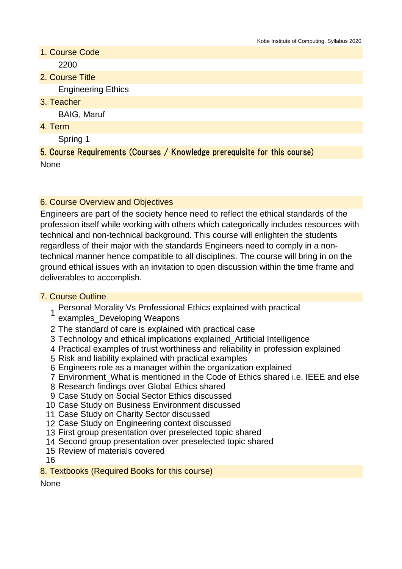- 1. Course Code 2200
- 2. Course Title

Engineering Ethics

3. Teacher

BAIG, Maruf

4. Term

Spring 1

5. Course Requirements (Courses / Knowledge prerequisite for this course)

None

#### 6. Course Overview and Objectives

Engineers are part of the society hence need to reflect the ethical standards of the profession itself while working with others which categorically includes resources with technical and non-technical background. This course will enlighten the students regardless of their major with the standards Engineers need to comply in a nontechnical manner hence compatible to all disciplines. The course will bring in on the ground ethical issues with an invitation to open discussion within the time frame and deliverables to accomplish.

#### 7. Course Outline

- 1 Personal Morality Vs Professional Ethics explained with practical examples\_Developing Weapons
- 2 The standard of care is explained with practical case
- 3 Technology and ethical implications explained\_Artificial Intelligence
- 4 Practical examples of trust worthiness and reliability in profession explained
- 5 Risk and liability explained with practical examples
- 6 Engineers role as a manager within the organization explained
- 7 Environment\_What is mentioned in the Code of Ethics shared i.e. IEEE and else
- 8 Research findings over Global Ethics shared
- 9 Case Study on Social Sector Ethics discussed
- 10 Case Study on Business Environment discussed
- 11 Case Study on Charity Sector discussed
- 12 Case Study on Engineering context discussed
- 13 First group presentation over preselected topic shared
- 14 Second group presentation over preselected topic shared
- 15 Review of materials covered
- 16
- 8. Textbooks (Required Books for this course)

**None**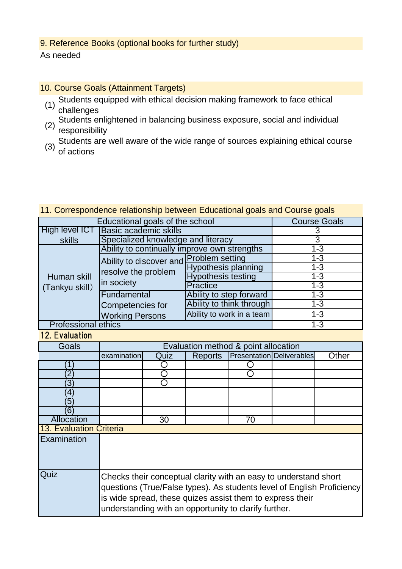# 9. Reference Books (optional books for further study)

As needed

- 10. Course Goals (Attainment Targets)
	- (1) Students equipped with ethical decision making framework to face ethical challenges
	- (2) Students enlightened in balancing business exposure, social and individual responsibility
	- (3) Students are well aware of the wide range of sources explaining ethical course of actions

### 11. Correspondence relationship between Educational goals and Course goals

| Educational goals of the school | <b>Course Goals</b>                                                          |                            |         |
|---------------------------------|------------------------------------------------------------------------------|----------------------------|---------|
| High level ICT                  | Basic academic skills                                                        |                            |         |
| skills                          | Specialized knowledge and literacy                                           | 3                          |         |
| Human skill<br>(Tankyu skill)   | Ability to continually improve own strengths                                 | $1 - 3$                    |         |
|                                 | Ability to discover and Problem setting<br>resolve the problem<br>in society |                            | $1 - 3$ |
|                                 |                                                                              | <b>Hypothesis planning</b> | $1 - 3$ |
|                                 |                                                                              | <b>Hypothesis testing</b>  | $1 - 3$ |
|                                 |                                                                              | Practice                   | $1 - 3$ |
|                                 | Fundamental                                                                  | Ability to step forward    | $1 - 3$ |
|                                 | Competencies for                                                             | Ability to think through   | $1 - 3$ |
|                                 | <b>Working Persons</b>                                                       | Ability to work in a team  | $1 - 3$ |
| <b>Professional ethics</b>      |                                                                              |                            | $1 - 3$ |

# 12. Evaluation

| Goals                   | Evaluation method & point allocation                                                                                                                                                                                                                             |      |                |    |                           |       |
|-------------------------|------------------------------------------------------------------------------------------------------------------------------------------------------------------------------------------------------------------------------------------------------------------|------|----------------|----|---------------------------|-------|
|                         | examination                                                                                                                                                                                                                                                      | Quiz | <b>Reports</b> |    | Presentation Deliverables | Other |
|                         |                                                                                                                                                                                                                                                                  |      |                |    |                           |       |
| 2                       |                                                                                                                                                                                                                                                                  |      |                |    |                           |       |
| 3                       |                                                                                                                                                                                                                                                                  |      |                |    |                           |       |
| 4                       |                                                                                                                                                                                                                                                                  |      |                |    |                           |       |
| 5                       |                                                                                                                                                                                                                                                                  |      |                |    |                           |       |
| 6)                      |                                                                                                                                                                                                                                                                  |      |                |    |                           |       |
| Allocation              |                                                                                                                                                                                                                                                                  | 30   |                | 70 |                           |       |
| 13. Evaluation Criteria |                                                                                                                                                                                                                                                                  |      |                |    |                           |       |
| Examination             |                                                                                                                                                                                                                                                                  |      |                |    |                           |       |
| Quiz                    | Checks their conceptual clarity with an easy to understand short<br>questions (True/False types). As students level of English Proficiency<br>is wide spread, these quizes assist them to express their<br>understanding with an opportunity to clarify further. |      |                |    |                           |       |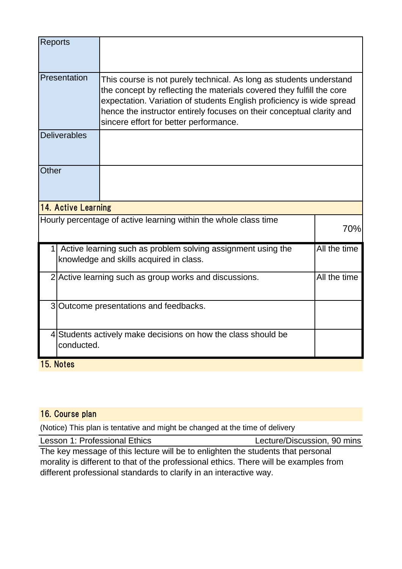| <b>Reports</b>                                                              |                                                                                                                                                                                                                                                                                                                                          |              |  |  |  |  |
|-----------------------------------------------------------------------------|------------------------------------------------------------------------------------------------------------------------------------------------------------------------------------------------------------------------------------------------------------------------------------------------------------------------------------------|--------------|--|--|--|--|
| Presentation                                                                | This course is not purely technical. As long as students understand<br>the concept by reflecting the materials covered they fulfill the core<br>expectation. Variation of students English proficiency is wide spread<br>hence the instructor entirely focuses on their conceptual clarity and<br>sincere effort for better performance. |              |  |  |  |  |
| <b>Deliverables</b>                                                         |                                                                                                                                                                                                                                                                                                                                          |              |  |  |  |  |
| Other                                                                       |                                                                                                                                                                                                                                                                                                                                          |              |  |  |  |  |
|                                                                             | 14. Active Learning                                                                                                                                                                                                                                                                                                                      |              |  |  |  |  |
|                                                                             | Hourly percentage of active learning within the whole class time                                                                                                                                                                                                                                                                         | 70%          |  |  |  |  |
|                                                                             | Active learning such as problem solving assignment using the<br>knowledge and skills acquired in class.                                                                                                                                                                                                                                  | All the time |  |  |  |  |
|                                                                             | 2 Active learning such as group works and discussions.                                                                                                                                                                                                                                                                                   | All the time |  |  |  |  |
|                                                                             | 3 Outcome presentations and feedbacks.                                                                                                                                                                                                                                                                                                   |              |  |  |  |  |
| 4 Students actively make decisions on how the class should be<br>conducted. |                                                                                                                                                                                                                                                                                                                                          |              |  |  |  |  |
| 15. Notes                                                                   |                                                                                                                                                                                                                                                                                                                                          |              |  |  |  |  |

# 16. Course plan

(Notice) This plan is tentative and might be changed at the time of delivery

Lesson 1: Professional Ethics Lecture/Discussion, 90 mins

The key message of this lecture will be to enlighten the students that personal morality is different to that of the professional ethics. There will be examples from different professional standards to clarify in an interactive way.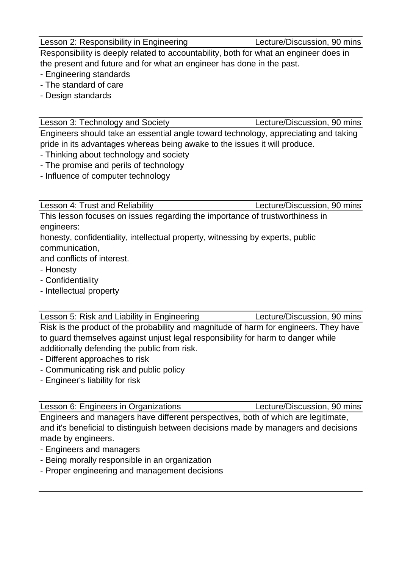Lesson 2: Responsibility in Engineering Lecture/Discussion, 90 mins

Responsibility is deeply related to accountability, both for what an engineer does in the present and future and for what an engineer has done in the past.

- Engineering standards
- The standard of care
- Design standards

Lesson 3: Technology and Society Lecture/Discussion, 90 mins

Engineers should take an essential angle toward technology, appreciating and taking pride in its advantages whereas being awake to the issues it will produce.

- Thinking about technology and society
- The promise and perils of technology
- Influence of computer technology

Lesson 4: Trust and Reliability Lecture/Discussion, 90 mins

This lesson focuses on issues regarding the importance of trustworthiness in engineers:

honesty, confidentiality, intellectual property, witnessing by experts, public communication,

and conflicts of interest.

- Honesty
- Confidentiality
- Intellectual property

Lesson 5: Risk and Liability in Engineering Lecture/Discussion, 90 mins

Risk is the product of the probability and magnitude of harm for engineers. They have to guard themselves against unjust legal responsibility for harm to danger while additionally defending the public from risk.

- Different approaches to risk
- Communicating risk and public policy
- Engineer's liability for risk

Engineers and managers have different perspectives, both of which are legitimate, and it's beneficial to distinguish between decisions made by managers and decisions made by engineers.

- Engineers and managers
- Being morally responsible in an organization
- Proper engineering and management decisions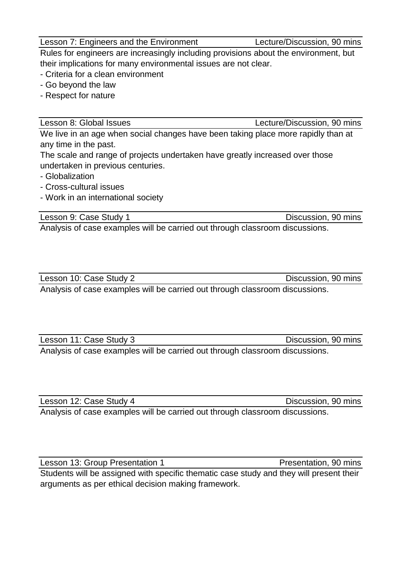Lesson 7: Engineers and the Environment Lecture/Discussion, 90 mins

Rules for engineers are increasingly including provisions about the environment, but their implications for many environmental issues are not clear.

- Criteria for a clean environment
- Go beyond the law
- Respect for nature

Lesson 8: Global Issues Lecture/Discussion, 90 mins

We live in an age when social changes have been taking place more rapidly than at any time in the past.

The scale and range of projects undertaken have greatly increased over those undertaken in previous centuries.

- Globalization

- Cross-cultural issues
- Work in an international society

Lesson 9: Case Study 1 **Discussion**, 90 mins

Analysis of case examples will be carried out through classroom discussions.

Lesson 10: Case Study 2 Discussion, 90 mins Analysis of case examples will be carried out through classroom discussions.

Lesson 11: Case Study 3 Discussion, 90 mins

Analysis of case examples will be carried out through classroom discussions.

Lesson 12: Case Study 4 Discussion, 90 mins

Analysis of case examples will be carried out through classroom discussions.

Lesson 13: Group Presentation 1 Presentation, 90 mins Students will be assigned with specific thematic case study and they will present their arguments as per ethical decision making framework.